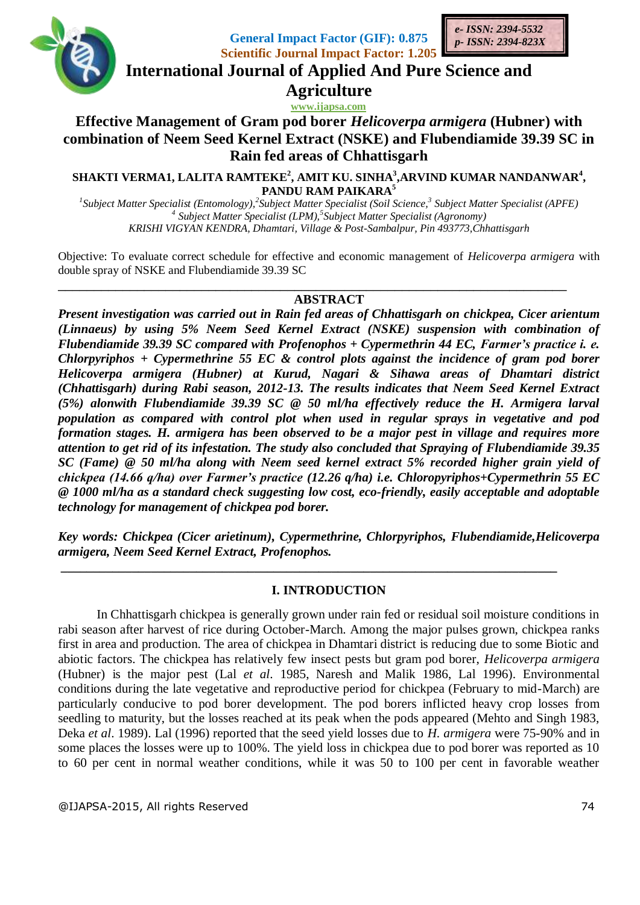

**General Impact Factor (GIF): 0.875 Scientific Journal Impact Factor: 1.205**



**International Journal of Applied And Pure Science and**

**Agriculture**

**www.ijapsa.com** 

# **Effective Management of Gram pod borer** *Helicoverpa armigera* **(Hubner) with combination of Neem Seed Kernel Extract (NSKE) and Flubendiamide 39.39 SC in Rain fed areas of Chhattisgarh**

**SHAKTI VERMA1, LALITA RAMTEKE<sup>2</sup> , AMIT KU. SINHA<sup>3</sup> ,ARVIND KUMAR NANDANWAR<sup>4</sup> , PANDU RAM PAIKARA<sup>5</sup>**

<sup>1</sup> Subject Matter Specialist (Entomology),<sup>2</sup> Subject Matter Specialist (Soil Science,<sup>3</sup> Subject Matter Specialist (APFE) *4 Subject Matter Specialist (LPM), 5 Subject Matter Specialist (Agronomy) KRISHI VIGYAN KENDRA, Dhamtari, Village & Post-Sambalpur, Pin 493773,Chhattisgarh*

Objective: To evaluate correct schedule for effective and economic management of *Helicoverpa armigera* with double spray of NSKE and Flubendiamide 39.39 SC

### **ABSTRACT**

\_\_\_\_\_\_\_\_\_\_\_\_\_\_\_\_\_\_\_\_\_\_\_\_\_\_\_\_\_\_\_\_\_\_\_\_\_\_\_\_\_\_\_\_\_\_\_\_\_\_\_\_\_\_\_\_\_\_\_\_\_\_\_\_\_\_\_\_\_\_\_

*Present investigation was carried out in Rain fed areas of Chhattisgarh on chickpea, Cicer arientum (Linnaeus) by using 5% Neem Seed Kernel Extract (NSKE) suspension with combination of Flubendiamide 39.39 SC compared with Profenophos + Cypermethrin 44 EC, Farmer's practice i. e. Chlorpyriphos + Cypermethrine 55 EC & control plots against the incidence of gram pod borer Helicoverpa armigera (Hubner) at Kurud, Nagari & Sihawa areas of Dhamtari district (Chhattisgarh) during Rabi season, 2012-13. The results indicates that Neem Seed Kernel Extract (5%) alonwith Flubendiamide 39.39 SC @ 50 ml/ha effectively reduce the H. Armigera larval population as compared with control plot when used in regular sprays in vegetative and pod formation stages. H. armigera has been observed to be a major pest in village and requires more attention to get rid of its infestation. The study also concluded that Spraying of Flubendiamide 39.35 SC (Fame) @ 50 ml/ha along with Neem seed kernel extract 5% recorded higher grain yield of chickpea (14.66 q/ha) over Farmer's practice (12.26 q/ha) i.e. Chloropyriphos+Cypermethrin 55 EC @ 1000 ml/ha as a standard check suggesting low cost, eco-friendly, easily acceptable and adoptable technology for management of chickpea pod borer.*

*Key words: Chickpea (Cicer arietinum), Cypermethrine, Chlorpyriphos, Flubendiamide,Helicoverpa armigera, Neem Seed Kernel Extract, Profenophos.*

### **I. INTRODUCTION**

**\_\_\_\_\_\_\_\_\_\_\_\_\_\_\_\_\_\_\_\_\_\_\_\_\_\_\_\_\_\_\_\_\_\_\_\_\_\_\_\_\_\_\_\_\_\_\_\_\_\_\_\_\_\_\_\_\_\_\_\_\_\_\_\_\_\_\_\_\_\_\_\_\_\_\_\_\_**

In Chhattisgarh chickpea is generally grown under rain fed or residual soil moisture conditions in rabi season after harvest of rice during October-March. Among the major pulses grown, chickpea ranks first in area and production. The area of chickpea in Dhamtari district is reducing due to some Biotic and abiotic factors. The chickpea has relatively few insect pests but gram pod borer, *Helicoverpa armigera*  (Hubner) is the major pest (Lal *et al*. 1985, Naresh and Malik 1986, Lal 1996). Environmental conditions during the late vegetative and reproductive period for chickpea (February to mid-March) are particularly conducive to pod borer development. The pod borers inflicted heavy crop losses from seedling to maturity, but the losses reached at its peak when the pods appeared (Mehto and Singh 1983, Deka *et al*. 1989). Lal (1996) reported that the seed yield losses due to *H. armigera* were 75-90% and in some places the losses were up to 100%. The yield loss in chickpea due to pod borer was reported as 10 to 60 per cent in normal weather conditions, while it was 50 to 100 per cent in favorable weather

@IJAPSA-2015, All rights Reserved 74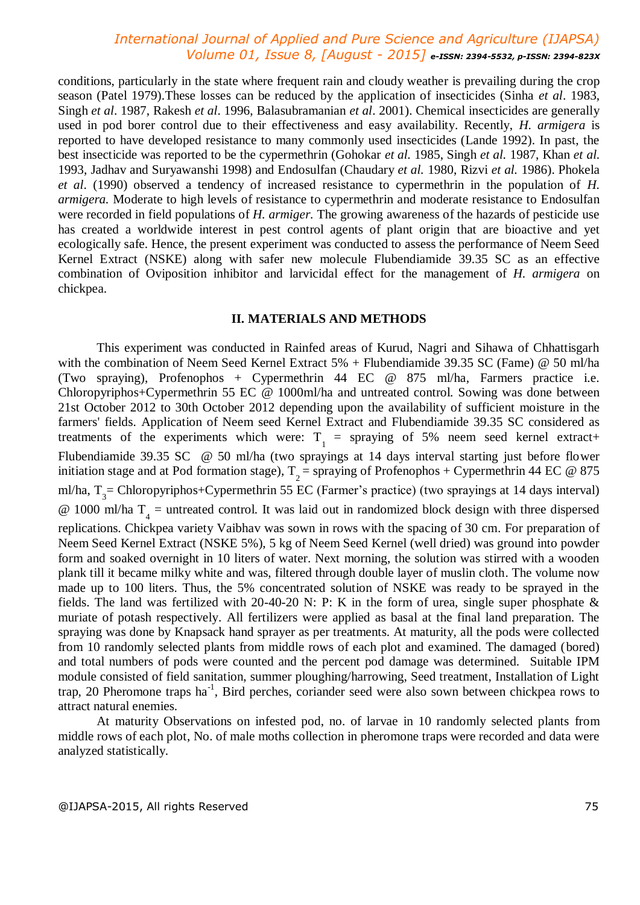## *International Journal of Applied and Pure Science and Agriculture (IJAPSA) Volume 01, Issue 8, [August - 2015] e-ISSN: 2394-5532, p-ISSN: 2394-823X*

conditions, particularly in the state where frequent rain and cloudy weather is prevailing during the crop season (Patel 1979).These losses can be reduced by the application of insecticides (Sinha *et al*. 1983, Singh *et al*. 1987, Rakesh *et al*. 1996, Balasubramanian *et al*. 2001). Chemical insecticides are generally used in pod borer control due to their effectiveness and easy availability. Recently, *H. armigera* is reported to have developed resistance to many commonly used insecticides (Lande 1992). In past, the best insecticide was reported to be the cypermethrin (Gohokar *et al.* 1985, Singh *et al.* 1987, Khan *et al.*  1993, Jadhav and Suryawanshi 1998) and Endosulfan (Chaudary *et al.* 1980, Rizvi *et al.* 1986). Phokela *et al*. (1990) observed a tendency of increased resistance to cypermethrin in the population of *H. armigera.* Moderate to high levels of resistance to cypermethrin and moderate resistance to Endosulfan were recorded in field populations of *H. armiger.* The growing awareness of the hazards of pesticide use has created a worldwide interest in pest control agents of plant origin that are bioactive and yet ecologically safe. Hence, the present experiment was conducted to assess the performance of Neem Seed Kernel Extract (NSKE) along with safer new molecule Flubendiamide 39.35 SC as an effective combination of Oviposition inhibitor and larvicidal effect for the management of *H. armigera* on chickpea.

#### **II. MATERIALS AND METHODS**

This experiment was conducted in Rainfed areas of Kurud, Nagri and Sihawa of Chhattisgarh with the combination of Neem Seed Kernel Extract 5% + Flubendiamide 39.35 SC (Fame) @ 50 ml/ha (Two spraying), Profenophos + Cypermethrin 44 EC @ 875 ml/ha, Farmers practice i.e. Chloropyriphos+Cypermethrin 55 EC @ 1000ml/ha and untreated control. Sowing was done between 21st October 2012 to 30th October 2012 depending upon the availability of sufficient moisture in the farmers' fields. Application of Neem seed Kernel Extract and Flubendiamide 39.35 SC considered as treatments of the experiments which were:  $T_1$  = spraying of 5% neem seed kernel extract+ Flubendiamide 39.35 SC @ 50 ml/ha (two sprayings at 14 days interval starting just before flower initiation stage and at Pod formation stage),  $T_2$  = spraying of Profenophos + Cypermethrin 44 EC @ 875 ml/ha, T<sub>3</sub> = Chloropyriphos+Cypermethrin 55 EC (Farmer's practice) (two sprayings at 14 days interval)  $\circledR$  1000 ml/ha T<sub>4</sub> = untreated control. It was laid out in randomized block design with three dispersed replications. Chickpea variety Vaibhav was sown in rows with the spacing of 30 cm. For preparation of Neem Seed Kernel Extract (NSKE 5%), 5 kg of Neem Seed Kernel (well dried) was ground into powder form and soaked overnight in 10 liters of water. Next morning, the solution was stirred with a wooden plank till it became milky white and was, filtered through double layer of muslin cloth. The volume now made up to 100 liters. Thus, the 5% concentrated solution of NSKE was ready to be sprayed in the fields. The land was fertilized with 20-40-20 N: P: K in the form of urea, single super phosphate & muriate of potash respectively. All fertilizers were applied as basal at the final land preparation. The spraying was done by Knapsack hand sprayer as per treatments. At maturity, all the pods were collected from 10 randomly selected plants from middle rows of each plot and examined. The damaged (bored) and total numbers of pods were counted and the percent pod damage was determined. Suitable IPM module consisted of field sanitation, summer ploughing/harrowing, Seed treatment, Installation of Light trap, 20 Pheromone traps ha<sup>-1</sup>, Bird perches, coriander seed were also sown between chickpea rows to attract natural enemies.

At maturity Observations on infested pod, no. of larvae in 10 randomly selected plants from middle rows of each plot, No. of male moths collection in pheromone traps were recorded and data were analyzed statistically.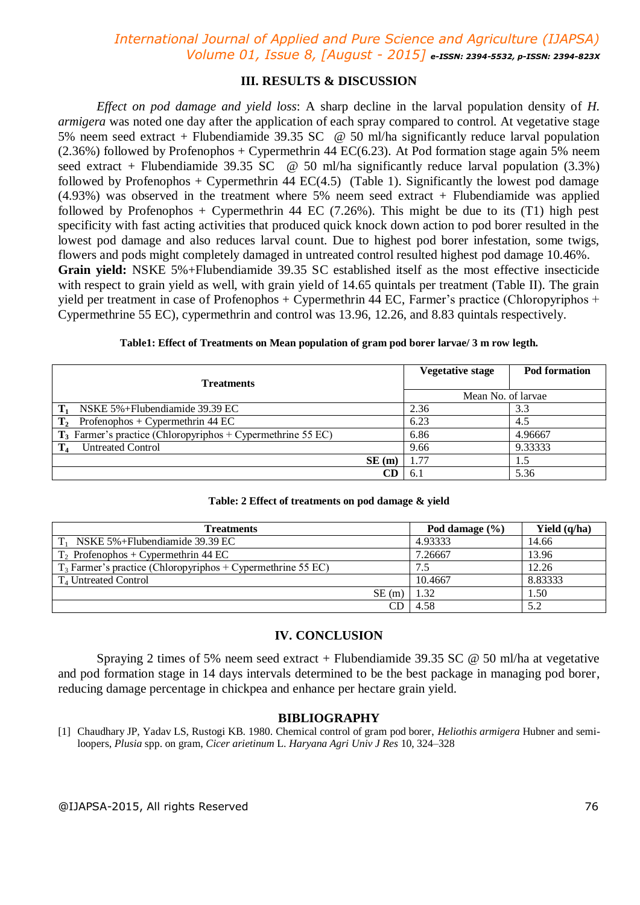## *International Journal of Applied and Pure Science and Agriculture (IJAPSA) Volume 01, Issue 8, [August - 2015] e-ISSN: 2394-5532, p-ISSN: 2394-823X*

#### **III. RESULTS & DISCUSSION**

*Effect on pod damage and yield loss*: A sharp decline in the larval population density of *H. armigera* was noted one day after the application of each spray compared to control. At vegetative stage 5% neem seed extract + Flubendiamide 39.35 SC @ 50 ml/ha significantly reduce larval population  $(2.36%)$  followed by Profenophos + Cypermethrin 44 EC(6.23). At Pod formation stage again 5% neem seed extract + Flubendiamide 39.35 SC  $\omega$  50 ml/ha significantly reduce larval population (3.3%) followed by Profenophos + Cypermethrin 44 EC(4.5) (Table 1). Significantly the lowest pod damage  $(4.93\%)$  was observed in the treatment where 5% neem seed extract + Flubendiamide was applied followed by Profenophos + Cypermethrin 44 EC  $(7.26\%)$ . This might be due to its  $(T1)$  high pest specificity with fast acting activities that produced quick knock down action to pod borer resulted in the lowest pod damage and also reduces larval count. Due to highest pod borer infestation, some twigs, flowers and pods might completely damaged in untreated control resulted highest pod damage 10.46%. **Grain yield:** NSKE 5%+Flubendiamide 39.35 SC established itself as the most effective insecticide with respect to grain yield as well, with grain yield of 14.65 quintals per treatment (Table II). The grain yield per treatment in case of Profenophos + Cypermethrin 44 EC, Farmer's practice (Chloropyriphos + Cypermethrine 55 EC), cypermethrin and control was 13.96, 12.26, and 8.83 quintals respectively.

| <b>Treatments</b>                                              |    | <b>Vegetative stage</b> | Pod formation |
|----------------------------------------------------------------|----|-------------------------|---------------|
|                                                                |    | Mean No. of larvae      |               |
| NSKE 5%+Flubendiamide 39.39 EC                                 |    | 2.36                    | 3.3           |
| $T_2$ Profenophos + Cypermethrin 44 EC                         |    | 6.23                    | 4.5           |
| $T_3$ Farmer's practice (Chloropyriphos + Cypermethrine 55 EC) |    | 6.86                    | 4.96667       |
| <b>Untreated Control</b><br>$\mathbf{T}_4$                     |    | 9.66                    | 9.33333       |
| SE(m)                                                          |    | 1.77                    | 1.5           |
|                                                                | CD | 6.                      | 5.36          |

|  | Table: 2 Effect of treatments on pod damage & yield |  |  |  |
|--|-----------------------------------------------------|--|--|--|
|--|-----------------------------------------------------|--|--|--|

| <b>Treatments</b>                                              | Pod damage $(\% )$ | Yield $(q/ha)$ |
|----------------------------------------------------------------|--------------------|----------------|
| NSKE 5%+Flubendiamide 39.39 EC                                 | 4.93333            | 14.66          |
| $T_2$ Profenophos + Cypermethrin 44 EC                         | 7.26667            | 13.96          |
| $T_3$ Farmer's practice (Chloropyriphos + Cypermethrine 55 EC) | 7.5                | 12.26          |
| $T_4$ Untreated Control                                        | 10.4667            | 8.83333        |
| SE(m)                                                          | 1.32               | 1.50           |
| CD                                                             | 4.58               | 5.2            |

#### **IV. CONCLUSION**

Spraying 2 times of 5% neem seed extract + Flubendiamide 39.35 SC  $\omega$  50 ml/ha at vegetative and pod formation stage in 14 days intervals determined to be the best package in managing pod borer, reducing damage percentage in chickpea and enhance per hectare grain yield.

#### **BIBLIOGRAPHY**

[1] Chaudhary JP, Yadav LS, Rustogi KB. 1980. Chemical control of gram pod borer, *Heliothis armigera* Hubner and semiloopers, *Plusia* spp. on gram, *Cicer arietinum* L. *Haryana Agri Univ J Res* 10, 324–328